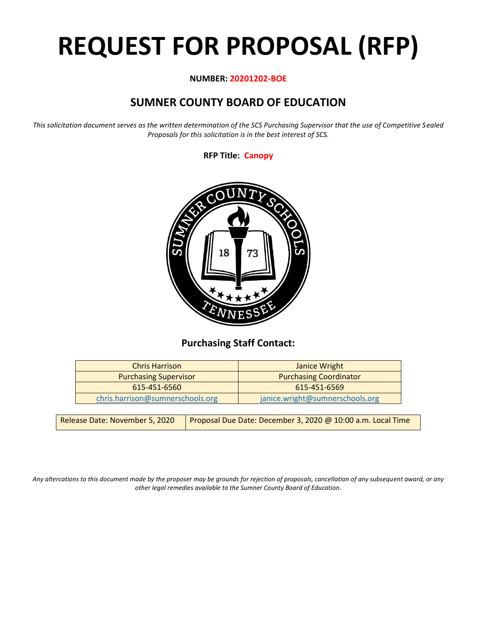# **REQUEST FOR PROPOSAL (RFP)**

# **NUMBER: 20201202-BOE**

# **SUMNER COUNTY BOARD OF EDUCATION**

*This solicitation document serves as the written determination of the SCS Purchasing Supervisor that the use of Competitive Sealed Proposals for this solicitation is in the best interest of SCS.*

**RFP Title: Canopy**



# **Purchasing Staff Contact:**

| Janice Wright                   |
|---------------------------------|
| <b>Purchasing Coordinator</b>   |
| 615-451-6569                    |
| janice.wright@sumnerschools.org |
|                                 |

| Release Date: November 5, 2020 | Proposal Due Date: December 3, 2020 @ 10:00 a.m. Local Time |
|--------------------------------|-------------------------------------------------------------|
|                                |                                                             |

*Any altercations to this document made by the proposer may be grounds for rejection of proposals, cancellation of any subsequent award, or any other legal remedies available to the Sumner County Board of Education.*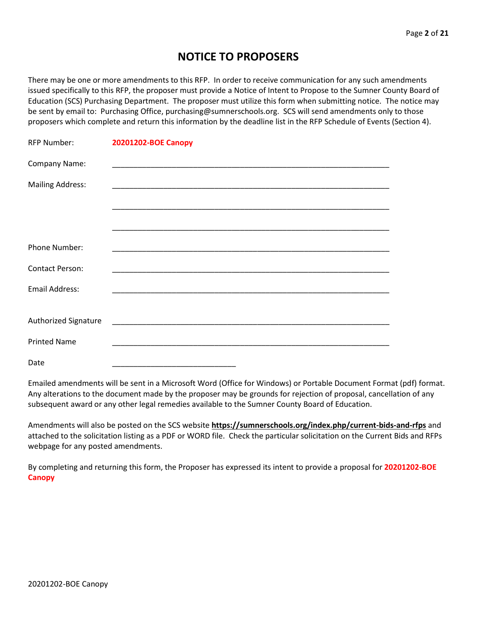# **NOTICE TO PROPOSERS**

There may be one or more amendments to this RFP. In order to receive communication for any such amendments issued specifically to this RFP, the proposer must provide a Notice of Intent to Propose to the Sumner County Board of Education (SCS) Purchasing Department. The proposer must utilize this form when submitting notice. The notice may be sent by email to: Purchasing Office, purchasing@sumnerschools.org. SCS will send amendments only to those proposers which complete and return this information by the deadline list in the RFP Schedule of Events (Section 4).

| <b>RFP Number:</b>      | 20201202-BOE Canopy                                                                                                  |
|-------------------------|----------------------------------------------------------------------------------------------------------------------|
| Company Name:           |                                                                                                                      |
| <b>Mailing Address:</b> | <u> 1989 - Johann John Stoff, deutscher Stoffen und der Stoffen und der Stoffen und der Stoffen und der Stoffen</u>  |
|                         |                                                                                                                      |
|                         |                                                                                                                      |
| Phone Number:           |                                                                                                                      |
| <b>Contact Person:</b>  |                                                                                                                      |
| <b>Email Address:</b>   |                                                                                                                      |
|                         |                                                                                                                      |
| Authorized Signature    | <u> 2002 - Johann John Stone, mars and de la provincia de la provincia de la provincia de la provincia de la pro</u> |
| <b>Printed Name</b>     |                                                                                                                      |
| Date                    |                                                                                                                      |

Emailed amendments will be sent in a Microsoft Word (Office for Windows) or Portable Document Format (pdf) format. Any alterations to the document made by the proposer may be grounds for rejection of proposal, cancellation of any subsequent award or any other legal remedies available to the Sumner County Board of Education.

Amendments will also be posted on the SCS website **https://sumnerschools.org/index.php/current-bids-and-rfps** and attached to the solicitation listing as a PDF or WORD file. Check the particular solicitation on the Current Bids and RFPs webpage for any posted amendments.

By completing and returning this form, the Proposer has expressed its intent to provide a proposal for **20201202-BOE Canopy**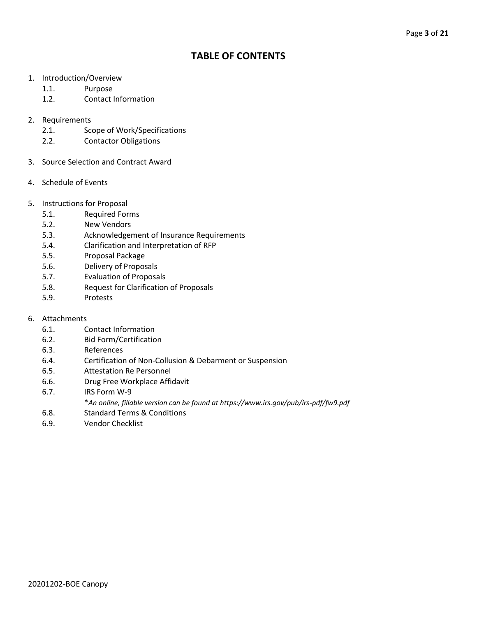# **TABLE OF CONTENTS**

- 1. Introduction/Overview
	- 1.1. Purpose
	- 1.2. Contact Information
- 2. Requirements
	- 2.1. Scope of Work/Specifications
	- 2.2. Contactor Obligations
- 3. Source Selection and Contract Award
- 4. Schedule of Events
- 5. Instructions for Proposal
	- 5.1. Required Forms
	- 5.2. New Vendors
	- 5.3. Acknowledgement of Insurance Requirements
	- 5.4. Clarification and Interpretation of RFP
	- 5.5. Proposal Package
	- 5.6. Delivery of Proposals
	- 5.7. Evaluation of Proposals
	- 5.8. Request for Clarification of Proposals
	- 5.9. Protests
- 6. Attachments
	- 6.1. Contact Information
	- 6.2. Bid Form/Certification
	- 6.3. References
	- 6.4. Certification of Non-Collusion & Debarment or Suspension
	- 6.5. Attestation Re Personnel
	- 6.6. Drug Free Workplace Affidavit
	- 6.7. IRS Form W-9
		- \**An online, fillable version can be found at https://www.irs.gov/pub/irs-pdf/fw9.pdf*
	- 6.8. Standard Terms & Conditions
	- 6.9. Vendor Checklist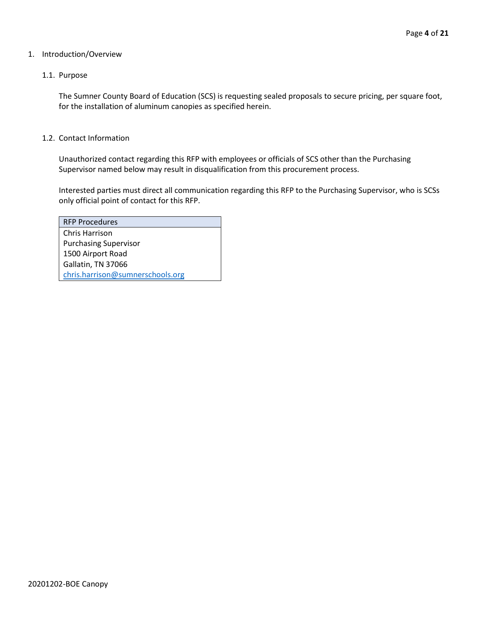# 1. Introduction/Overview

# 1.1. Purpose

The Sumner County Board of Education (SCS) is requesting sealed proposals to secure pricing, per square foot, for the installation of aluminum canopies as specified herein.

# 1.2. Contact Information

Unauthorized contact regarding this RFP with employees or officials of SCS other than the Purchasing Supervisor named below may result in disqualification from this procurement process.

Interested parties must direct all communication regarding this RFP to the Purchasing Supervisor, who is SCSs only official point of contact for this RFP.

| <b>RFP Procedures</b>            |
|----------------------------------|
| Chris Harrison                   |
| <b>Purchasing Supervisor</b>     |
| 1500 Airport Road                |
| Gallatin, TN 37066               |
| chris.harrison@sumnerschools.org |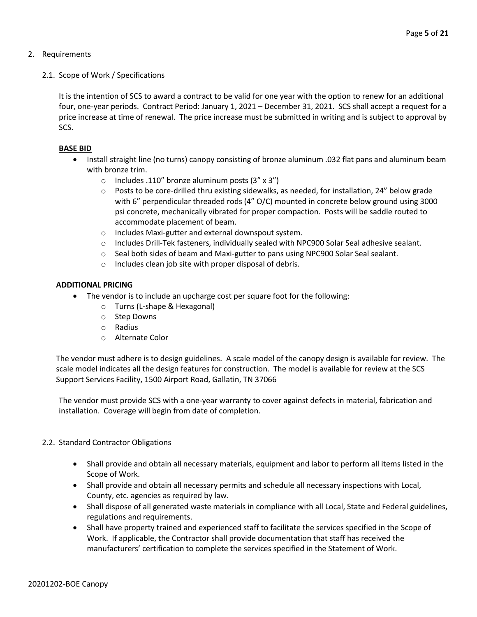- 2. Requirements
	- 2.1. Scope of Work / Specifications

It is the intention of SCS to award a contract to be valid for one year with the option to renew for an additional four, one-year periods. Contract Period: January 1, 2021 – December 31, 2021. SCS shall accept a request for a price increase at time of renewal. The price increase must be submitted in writing and is subject to approval by SCS.

# **BASE BID**

- Install straight line (no turns) canopy consisting of bronze aluminum .032 flat pans and aluminum beam with bronze trim.
	- o Includes .110" bronze aluminum posts (3" x 3")
	- $\circ$  Posts to be core-drilled thru existing sidewalks, as needed, for installation, 24" below grade with 6" perpendicular threaded rods (4" O/C) mounted in concrete below ground using 3000 psi concrete, mechanically vibrated for proper compaction. Posts will be saddle routed to accommodate placement of beam.
	- o Includes Maxi-gutter and external downspout system.
	- o Includes Drill-Tek fasteners, individually sealed with NPC900 Solar Seal adhesive sealant.
	- $\circ$  Seal both sides of beam and Maxi-gutter to pans using NPC900 Solar Seal sealant.
	- o Includes clean job site with proper disposal of debris.

# **ADDITIONAL PRICING**

- The vendor is to include an upcharge cost per square foot for the following:
	- o Turns (L-shape & Hexagonal)
	- o Step Downs
	- o Radius
	- o Alternate Color

The vendor must adhere is to design guidelines. A scale model of the canopy design is available for review. The scale model indicates all the design features for construction. The model is available for review at the SCS Support Services Facility, 1500 Airport Road, Gallatin, TN 37066

The vendor must provide SCS with a one-year warranty to cover against defects in material, fabrication and installation. Coverage will begin from date of completion.

# 2.2. Standard Contractor Obligations

- Shall provide and obtain all necessary materials, equipment and labor to perform all items listed in the Scope of Work.
- Shall provide and obtain all necessary permits and schedule all necessary inspections with Local, County, etc. agencies as required by law.
- Shall dispose of all generated waste materials in compliance with all Local, State and Federal guidelines, regulations and requirements.
- Shall have property trained and experienced staff to facilitate the services specified in the Scope of Work. If applicable, the Contractor shall provide documentation that staff has received the manufacturers' certification to complete the services specified in the Statement of Work.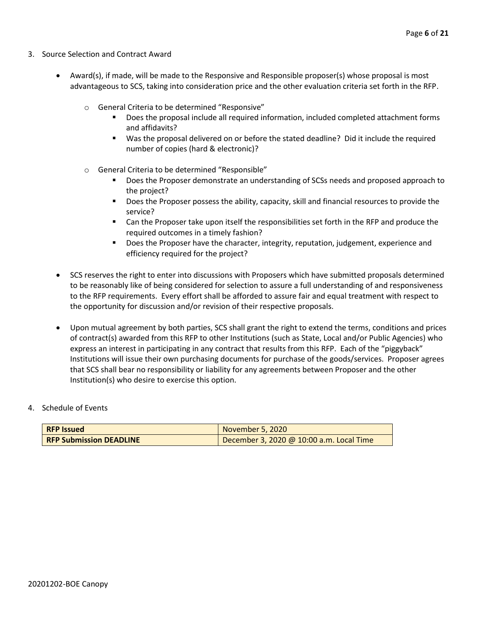- 3. Source Selection and Contract Award
	- Award(s), if made, will be made to the Responsive and Responsible proposer(s) whose proposal is most advantageous to SCS, taking into consideration price and the other evaluation criteria set forth in the RFP.
		- o General Criteria to be determined "Responsive"
			- Does the proposal include all required information, included completed attachment forms and affidavits?
			- Was the proposal delivered on or before the stated deadline? Did it include the required number of copies (hard & electronic)?
		- o General Criteria to be determined "Responsible"
			- Does the Proposer demonstrate an understanding of SCSs needs and proposed approach to the project?
			- Does the Proposer possess the ability, capacity, skill and financial resources to provide the service?
			- Can the Proposer take upon itself the responsibilities set forth in the RFP and produce the required outcomes in a timely fashion?
			- **■** Does the Proposer have the character, integrity, reputation, judgement, experience and efficiency required for the project?
	- SCS reserves the right to enter into discussions with Proposers which have submitted proposals determined to be reasonably like of being considered for selection to assure a full understanding of and responsiveness to the RFP requirements. Every effort shall be afforded to assure fair and equal treatment with respect to the opportunity for discussion and/or revision of their respective proposals.
	- Upon mutual agreement by both parties, SCS shall grant the right to extend the terms, conditions and prices of contract(s) awarded from this RFP to other Institutions (such as State, Local and/or Public Agencies) who express an interest in participating in any contract that results from this RFP. Each of the "piggyback" Institutions will issue their own purchasing documents for purchase of the goods/services. Proposer agrees that SCS shall bear no responsibility or liability for any agreements between Proposer and the other Institution(s) who desire to exercise this option.

# 4. Schedule of Events

| <b>RFP Issued</b>              | November 5, 2020                         |
|--------------------------------|------------------------------------------|
| <b>RFP Submission DEADLINE</b> | December 3, 2020 @ 10:00 a.m. Local Time |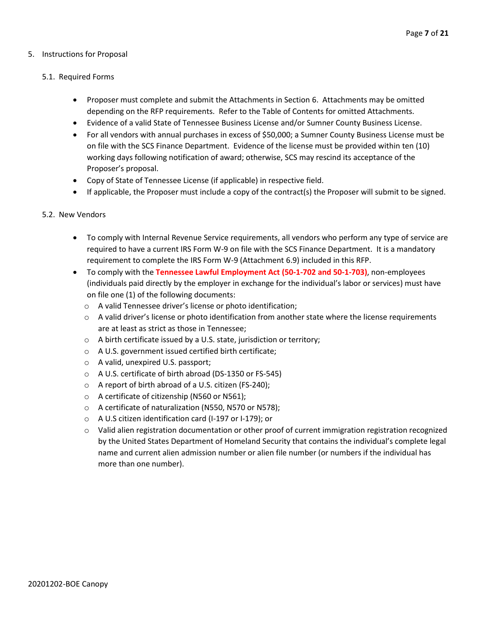# 5. Instructions for Proposal

# 5.1. Required Forms

- Proposer must complete and submit the Attachments in Section 6. Attachments may be omitted depending on the RFP requirements. Refer to the Table of Contents for omitted Attachments.
- Evidence of a valid State of Tennessee Business License and/or Sumner County Business License.
- For all vendors with annual purchases in excess of \$50,000; a Sumner County Business License must be on file with the SCS Finance Department. Evidence of the license must be provided within ten (10) working days following notification of award; otherwise, SCS may rescind its acceptance of the Proposer's proposal.
- Copy of State of Tennessee License (if applicable) in respective field.
- If applicable, the Proposer must include a copy of the contract(s) the Proposer will submit to be signed.

# 5.2. New Vendors

- To comply with Internal Revenue Service requirements, all vendors who perform any type of service are required to have a current IRS Form W-9 on file with the SCS Finance Department. It is a mandatory requirement to complete the IRS Form W-9 (Attachment 6.9) included in this RFP.
- To comply with the **Tennessee Lawful Employment Act (50-1-702 and 50-1-703)**, non-employees (individuals paid directly by the employer in exchange for the individual's labor or services) must have on file one (1) of the following documents:
	- o A valid Tennessee driver's license or photo identification;
	- $\circ$  A valid driver's license or photo identification from another state where the license requirements are at least as strict as those in Tennessee;
	- o A birth certificate issued by a U.S. state, jurisdiction or territory;
	- o A U.S. government issued certified birth certificate;
	- o A valid, unexpired U.S. passport;
	- o A U.S. certificate of birth abroad (DS-1350 or FS-545)
	- o A report of birth abroad of a U.S. citizen (FS-240);
	- o A certificate of citizenship (N560 or N561);
	- o A certificate of naturalization (N550, N570 or N578);
	- o A U.S citizen identification card (I-197 or I-179); or
	- $\circ$  Valid alien registration documentation or other proof of current immigration registration recognized by the United States Department of Homeland Security that contains the individual's complete legal name and current alien admission number or alien file number (or numbers if the individual has more than one number).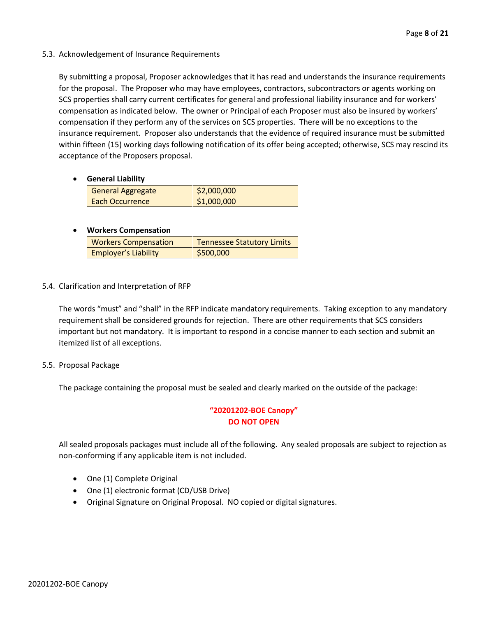# 5.3. Acknowledgement of Insurance Requirements

By submitting a proposal, Proposer acknowledges that it has read and understands the insurance requirements for the proposal. The Proposer who may have employees, contractors, subcontractors or agents working on SCS properties shall carry current certificates for general and professional liability insurance and for workers' compensation as indicated below. The owner or Principal of each Proposer must also be insured by workers' compensation if they perform any of the services on SCS properties. There will be no exceptions to the insurance requirement. Proposer also understands that the evidence of required insurance must be submitted within fifteen (15) working days following notification of its offer being accepted; otherwise, SCS may rescind its acceptance of the Proposers proposal.

# • **General Liability**

| General Aggregate      | \$2,000,000 |
|------------------------|-------------|
| <b>Each Occurrence</b> | \$1,000,000 |

# • **Workers Compensation**

| <b>Workers Compensation</b> | <b>Tennessee Statutory Limits</b> |
|-----------------------------|-----------------------------------|
| <b>Employer's Liability</b> | \$500,000                         |

# 5.4. Clarification and Interpretation of RFP

The words "must" and "shall" in the RFP indicate mandatory requirements. Taking exception to any mandatory requirement shall be considered grounds for rejection. There are other requirements that SCS considers important but not mandatory. It is important to respond in a concise manner to each section and submit an itemized list of all exceptions.

# 5.5. Proposal Package

The package containing the proposal must be sealed and clearly marked on the outside of the package:

# **"20201202-BOE Canopy" DO NOT OPEN**

All sealed proposals packages must include all of the following. Any sealed proposals are subject to rejection as non-conforming if any applicable item is not included.

- One (1) Complete Original
- One (1) electronic format (CD/USB Drive)
- Original Signature on Original Proposal. NO copied or digital signatures.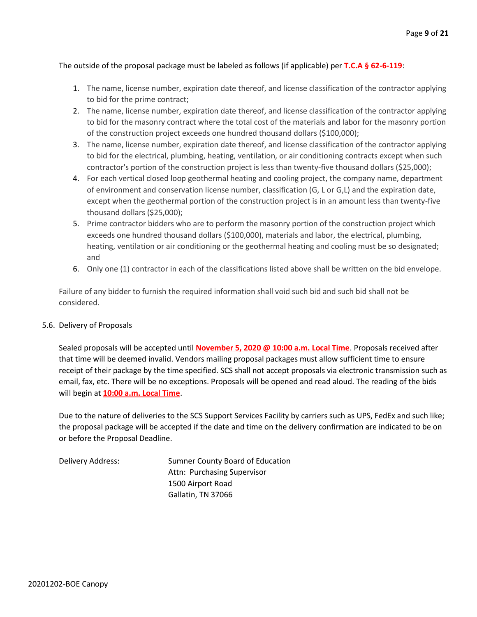# The outside of the proposal package must be labeled as follows (if applicable) per **T.C.A § 62-6-119**:

- 1. The name, license number, expiration date thereof, and license classification of the contractor applying to bid for the prime contract;
- 2. The name, license number, expiration date thereof, and license classification of the contractor applying to bid for the masonry contract where the total cost of the materials and labor for the masonry portion of the construction project exceeds one hundred thousand dollars (\$100,000);
- 3. The name, license number, expiration date thereof, and license classification of the contractor applying to bid for the electrical, plumbing, heating, ventilation, or air conditioning contracts except when such contractor's portion of the construction project is less than twenty-five thousand dollars (\$25,000);
- 4. For each vertical closed loop geothermal heating and cooling project, the company name, department of environment and conservation license number, classification (G, L or G,L) and the expiration date, except when the geothermal portion of the construction project is in an amount less than twenty-five thousand dollars (\$25,000);
- 5. Prime contractor bidders who are to perform the masonry portion of the construction project which exceeds one hundred thousand dollars (\$100,000), materials and labor, the electrical, plumbing, heating, ventilation or air conditioning or the geothermal heating and cooling must be so designated; and
- 6. Only one (1) contractor in each of the classifications listed above shall be written on the bid envelope.

Failure of any bidder to furnish the required information shall void such bid and such bid shall not be considered.

# 5.6. Delivery of Proposals

Sealed proposals will be accepted until **November 5, 2020 @ 10:00 a.m. Local Time**. Proposals received after that time will be deemed invalid. Vendors mailing proposal packages must allow sufficient time to ensure receipt of their package by the time specified. SCS shall not accept proposals via electronic transmission such as email, fax, etc. There will be no exceptions. Proposals will be opened and read aloud. The reading of the bids will begin at **10:00 a.m. Local Time**.

Due to the nature of deliveries to the SCS Support Services Facility by carriers such as UPS, FedEx and such like; the proposal package will be accepted if the date and time on the delivery confirmation are indicated to be on or before the Proposal Deadline.

Delivery Address: Sumner County Board of Education Attn: Purchasing Supervisor 1500 Airport Road Gallatin, TN 37066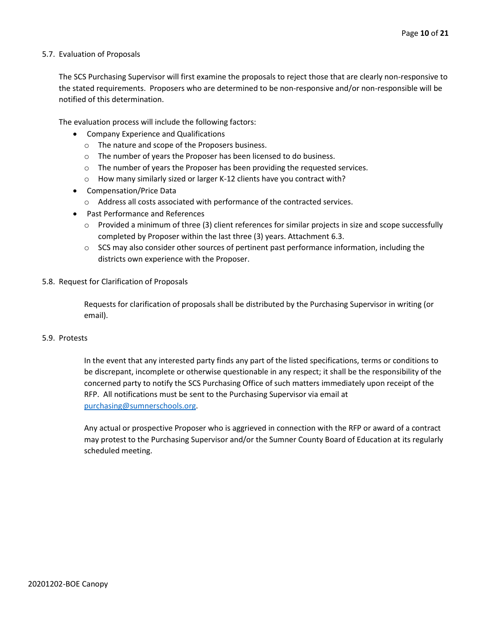# 5.7. Evaluation of Proposals

The SCS Purchasing Supervisor will first examine the proposals to reject those that are clearly non-responsive to the stated requirements. Proposers who are determined to be non-responsive and/or non-responsible will be notified of this determination.

The evaluation process will include the following factors:

- Company Experience and Qualifications
	- o The nature and scope of the Proposers business.
	- $\circ$  The number of years the Proposer has been licensed to do business.
	- $\circ$  The number of years the Proposer has been providing the requested services.
	- o How many similarly sized or larger K-12 clients have you contract with?
- Compensation/Price Data
	- o Address all costs associated with performance of the contracted services.
- Past Performance and References
	- $\circ$  Provided a minimum of three (3) client references for similar projects in size and scope successfully completed by Proposer within the last three (3) years. Attachment 6.3.
	- $\circ$  SCS may also consider other sources of pertinent past performance information, including the districts own experience with the Proposer.
- 5.8. Request for Clarification of Proposals

Requests for clarification of proposals shall be distributed by the Purchasing Supervisor in writing (or email).

# 5.9. Protests

In the event that any interested party finds any part of the listed specifications, terms or conditions to be discrepant, incomplete or otherwise questionable in any respect; it shall be the responsibility of the concerned party to notify the SCS Purchasing Office of such matters immediately upon receipt of the RFP. All notifications must be sent to the Purchasing Supervisor via email at [purchasing@sumnerschools.org.](mailto:purchasing@sumnerschools.org)

Any actual or prospective Proposer who is aggrieved in connection with the RFP or award of a contract may protest to the Purchasing Supervisor and/or the Sumner County Board of Education at its regularly scheduled meeting.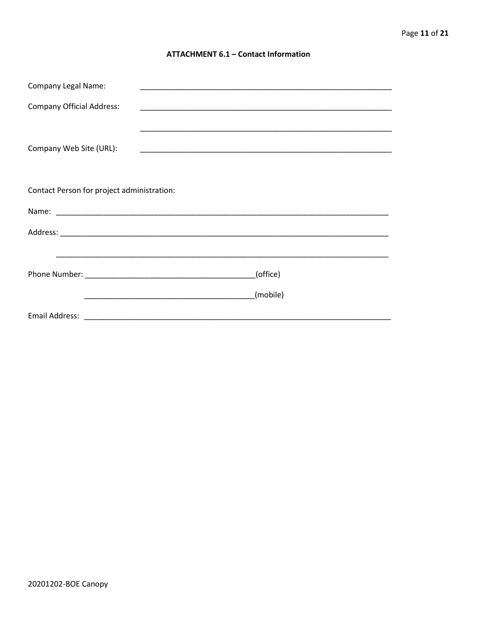# **ATTACHMENT 6.1 - Contact Information**

| <b>Company Legal Name:</b>                 |                                                                                                                                  |  |
|--------------------------------------------|----------------------------------------------------------------------------------------------------------------------------------|--|
| <b>Company Official Address:</b>           |                                                                                                                                  |  |
|                                            |                                                                                                                                  |  |
| Company Web Site (URL):                    |                                                                                                                                  |  |
|                                            |                                                                                                                                  |  |
|                                            |                                                                                                                                  |  |
| Contact Person for project administration: |                                                                                                                                  |  |
|                                            |                                                                                                                                  |  |
|                                            |                                                                                                                                  |  |
|                                            |                                                                                                                                  |  |
|                                            | (office)                                                                                                                         |  |
|                                            |                                                                                                                                  |  |
|                                            | (mobile)<br><u> 1989 - Johann John Harry Harry Harry Harry Harry Harry Harry Harry Harry Harry Harry Harry Harry Harry Harry</u> |  |
|                                            |                                                                                                                                  |  |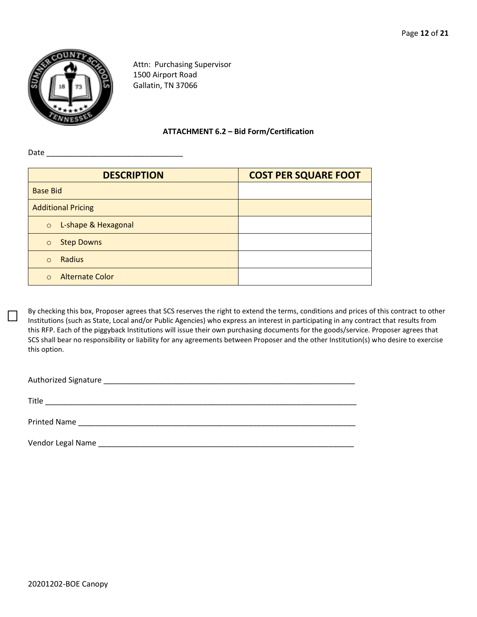

Attn: Purchasing Supervisor 1500 Airport Road Gallatin, TN 37066

**ATTACHMENT 6.2 – Bid Form/Certification**

Date \_\_\_\_\_\_\_\_\_\_\_\_\_\_\_\_\_\_\_\_\_\_\_\_\_\_\_\_\_\_\_\_

| <b>DESCRIPTION</b>                 | <b>COST PER SQUARE FOOT</b> |
|------------------------------------|-----------------------------|
| <b>Base Bid</b>                    |                             |
| <b>Additional Pricing</b>          |                             |
| L-shape & Hexagonal<br>$\circ$     |                             |
| <b>Step Downs</b><br>$\circ$       |                             |
| Radius<br>$\Omega$                 |                             |
| <b>Alternate Color</b><br>$\Omega$ |                             |

By checking this box, Proposer agrees that SCS reserves the right to extend the terms, conditions and prices of this contract to other Institutions (such as State, Local and/or Public Agencies) who express an interest in participating in any contract that results from this RFP. Each of the piggyback Institutions will issue their own purchasing documents for the goods/service. Proposer agrees that SCS shall bear no responsibility or liability for any agreements between Proposer and the other Institution(s) who desire to exercise this option.

Authorized Signature \_\_\_\_\_\_\_\_\_\_\_\_\_\_\_\_\_\_\_\_\_\_\_\_\_\_\_\_\_\_\_\_\_\_\_\_\_\_\_\_\_\_\_\_\_\_\_\_\_\_\_\_\_\_\_\_\_\_\_

Title \_\_\_\_\_\_\_\_\_\_\_\_\_\_\_\_\_\_\_\_\_\_\_\_\_\_\_\_\_\_\_\_\_\_\_\_\_\_\_\_\_\_\_\_\_\_\_\_\_\_\_\_\_\_\_\_\_\_\_\_\_\_\_\_\_\_\_\_\_\_\_\_\_

Printed Name \_\_\_\_\_\_\_\_\_\_\_\_\_\_\_\_\_\_\_\_\_\_\_\_\_\_\_\_\_\_\_\_\_\_\_\_\_\_\_\_\_\_\_\_\_\_\_\_\_\_\_\_\_\_\_\_\_\_\_\_\_\_\_\_\_

Vendor Legal Name \_\_\_\_\_\_\_\_\_\_\_\_\_\_\_\_\_\_\_\_\_\_\_\_\_\_\_\_\_\_\_\_\_\_\_\_\_\_\_\_\_\_\_\_\_\_\_\_\_\_\_\_\_\_\_\_\_\_\_\_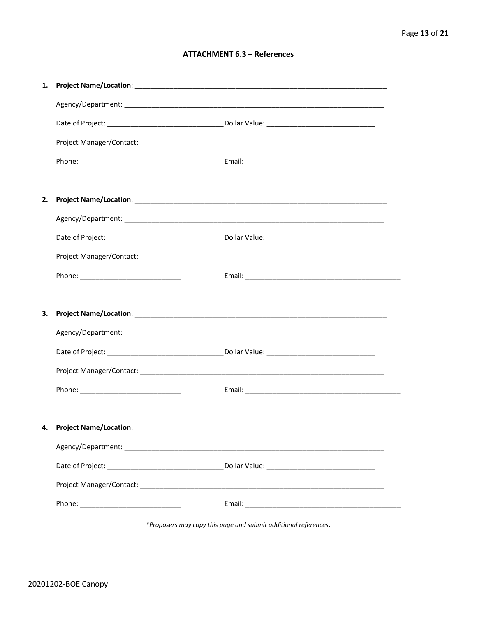# **ATTACHMENT 6.3 - References**

| 1. |                                     |  |
|----|-------------------------------------|--|
|    |                                     |  |
|    |                                     |  |
|    |                                     |  |
|    |                                     |  |
|    |                                     |  |
| 2. |                                     |  |
|    |                                     |  |
|    |                                     |  |
|    |                                     |  |
|    |                                     |  |
|    |                                     |  |
|    |                                     |  |
| З. |                                     |  |
|    |                                     |  |
|    |                                     |  |
|    |                                     |  |
|    |                                     |  |
|    |                                     |  |
|    | 4. Project Name/Location: _________ |  |
|    |                                     |  |
|    |                                     |  |
|    |                                     |  |

\*Proposers may copy this page and submit additional references.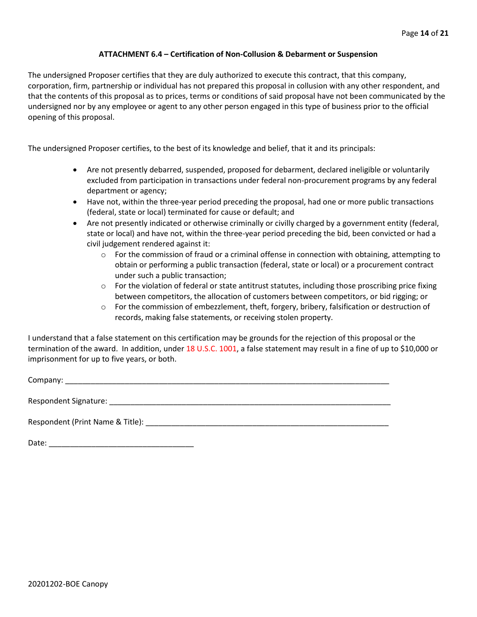# **ATTACHMENT 6.4 – Certification of Non-Collusion & Debarment or Suspension**

The undersigned Proposer certifies that they are duly authorized to execute this contract, that this company, corporation, firm, partnership or individual has not prepared this proposal in collusion with any other respondent, and that the contents of this proposal as to prices, terms or conditions of said proposal have not been communicated by the undersigned nor by any employee or agent to any other person engaged in this type of business prior to the official opening of this proposal.

The undersigned Proposer certifies, to the best of its knowledge and belief, that it and its principals:

- Are not presently debarred, suspended, proposed for debarment, declared ineligible or voluntarily excluded from participation in transactions under federal non-procurement programs by any federal department or agency;
- Have not, within the three-year period preceding the proposal, had one or more public transactions (federal, state or local) terminated for cause or default; and
- Are not presently indicated or otherwise criminally or civilly charged by a government entity (federal, state or local) and have not, within the three-year period preceding the bid, been convicted or had a civil judgement rendered against it:
	- $\circ$  For the commission of fraud or a criminal offense in connection with obtaining, attempting to obtain or performing a public transaction (federal, state or local) or a procurement contract under such a public transaction;
	- $\circ$  For the violation of federal or state antitrust statutes, including those proscribing price fixing between competitors, the allocation of customers between competitors, or bid rigging; or
	- o For the commission of embezzlement, theft, forgery, bribery, falsification or destruction of records, making false statements, or receiving stolen property.

I understand that a false statement on this certification may be grounds for the rejection of this proposal or the termination of the award. In addition, under 18 U.S.C. 1001, a false statement may result in a fine of up to \$10,000 or imprisonment for up to five years, or both.

Company: \_\_\_\_\_\_\_\_\_\_\_\_\_\_\_\_\_\_\_\_\_\_\_\_\_\_\_\_\_\_\_\_\_\_\_\_\_\_\_\_\_\_\_\_\_\_\_\_\_\_\_\_\_\_\_\_\_\_\_\_\_\_\_\_\_\_\_\_\_\_\_\_\_\_\_\_

Respondent Signature: \_\_\_\_\_\_\_\_\_\_\_\_\_\_\_\_\_\_\_\_\_\_\_\_\_\_\_\_\_\_\_\_\_\_\_\_\_\_\_\_\_\_\_\_\_\_\_\_\_\_\_\_\_\_\_\_\_\_\_\_\_\_\_\_\_\_

Respondent (Print Name & Title): \_\_\_\_\_\_\_\_\_\_\_\_\_\_\_\_\_\_\_\_\_\_\_\_\_\_\_\_\_\_\_\_\_\_\_\_\_\_\_\_\_\_\_\_\_\_\_\_\_\_\_\_\_\_\_\_\_

Date: \_\_\_\_\_\_\_\_\_\_\_\_\_\_\_\_\_\_\_\_\_\_\_\_\_\_\_\_\_\_\_\_\_\_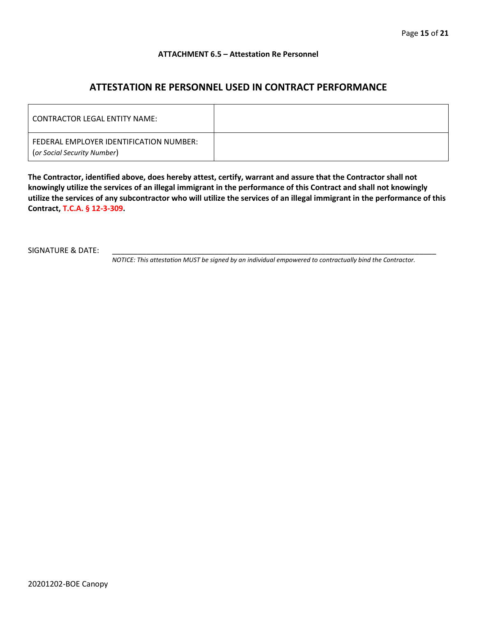# **ATTACHMENT 6.5 – Attestation Re Personnel**

# **ATTESTATION RE PERSONNEL USED IN CONTRACT PERFORMANCE**

| CONTRACTOR LEGAL ENTITY NAME:                                          |  |
|------------------------------------------------------------------------|--|
| FEDERAL EMPLOYER IDENTIFICATION NUMBER:<br>(or Social Security Number) |  |

**The Contractor, identified above, does hereby attest, certify, warrant and assure that the Contractor shall not knowingly utilize the services of an illegal immigrant in the performance of this Contract and shall not knowingly utilize the services of any subcontractor who will utilize the services of an illegal immigrant in the performance of this Contract, T.C.A. § 12-3-309.**

SIGNATURE & DATE:

*NOTICE: This attestation MUST be signed by an individual empowered to contractually bind the Contractor.*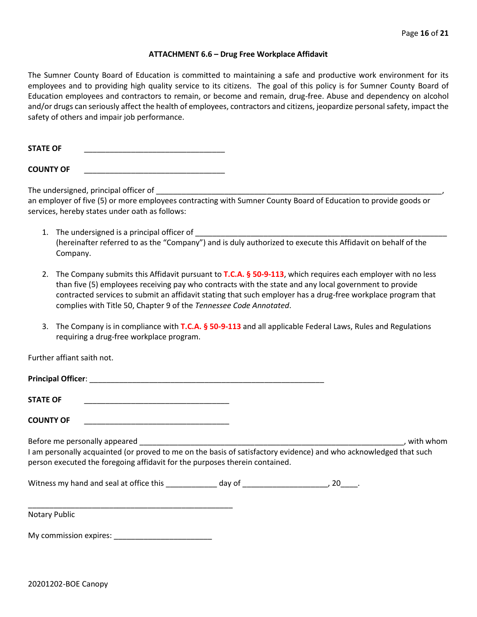#### **ATTACHMENT 6.6 – Drug Free Workplace Affidavit**

The Sumner County Board of Education is committed to maintaining a safe and productive work environment for its employees and to providing high quality service to its citizens. The goal of this policy is for Sumner County Board of Education employees and contractors to remain, or become and remain, drug-free. Abuse and dependency on alcohol and/or drugs can seriously affect the health of employees, contractors and citizens, jeopardize personal safety, impact the safety of others and impair job performance.

STATE OF

**COUNTY OF** \_\_\_\_\_\_\_\_\_\_\_\_\_\_\_\_\_\_\_\_\_\_\_\_\_\_\_\_\_\_\_\_\_

The undersigned, principal officer of

an employer of five (5) or more employees contracting with Sumner County Board of Education to provide goods or services, hereby states under oath as follows:

- 1. The undersigned is a principal officer of (hereinafter referred to as the "Company") and is duly authorized to execute this Affidavit on behalf of the Company.
- 2. The Company submits this Affidavit pursuant to **T.C.A. § 50-9-113**, which requires each employer with no less than five (5) employees receiving pay who contracts with the state and any local government to provide contracted services to submit an affidavit stating that such employer has a drug-free workplace program that complies with Title 50, Chapter 9 of the *Tennessee Code Annotated*.
- 3. The Company is in compliance with **T.C.A. § 50-9-113** and all applicable Federal Laws, Rules and Regulations requiring a drug-free workplace program.

Further affiant saith not.

| Principal Officer: |  |
|--------------------|--|
|                    |  |
| <b>STATE OF</b>    |  |

**COUNTY OF** \_\_\_\_\_\_\_\_\_\_\_\_\_\_\_\_\_\_\_\_\_\_\_\_\_\_\_\_\_\_\_\_\_\_

Before me personally appeared \_\_\_\_\_\_\_\_\_\_\_\_\_\_\_\_\_\_\_\_\_\_\_\_\_\_\_\_\_\_\_\_\_\_\_\_\_\_\_\_\_\_\_\_\_\_\_\_\_\_\_\_\_\_\_\_\_\_\_\_\_\_, with whom I am personally acquainted (or proved to me on the basis of satisfactory evidence) and who acknowledged that such person executed the foregoing affidavit for the purposes therein contained.

Witness my hand and seal at office this \_\_\_\_\_\_\_\_\_\_\_\_\_ day of \_\_\_\_\_\_\_\_\_\_\_\_\_\_\_\_\_\_\_\_\_, 20\_\_\_\_.

\_\_\_\_\_\_\_\_\_\_\_\_\_\_\_\_\_\_\_\_\_\_\_\_\_\_\_\_\_\_\_\_\_\_\_\_\_\_\_\_\_\_\_\_\_\_\_\_ Notary Public

My commission expires: **Example 20**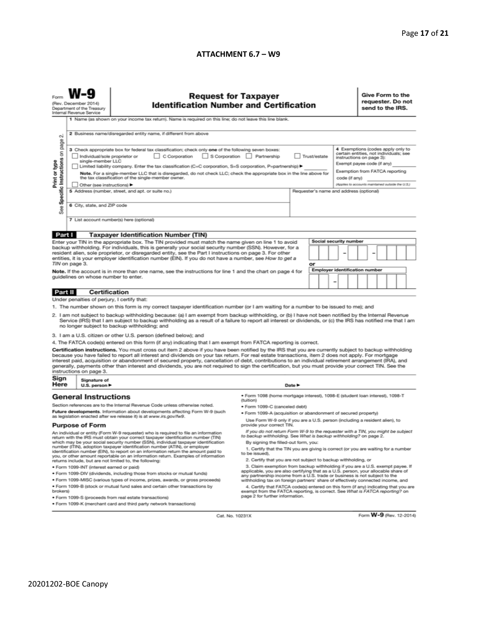# **ATTACHMENT 6.7 – W9**

| (Rev. December 2014)<br><b>Identification Number and Certification</b><br>Department of the Treasury<br>Internal Revenue Service<br>1 Name (as shown on your income tax return). Name is required on this line; do not leave this line blank.<br>2 Business name/disregarded entity name, if different from above<br>N<br>3 Check appropriate box for federal tax classification; check only one of the following seven boxes:                                                                                                                                                                                                                           |                                                                                  |                                                                                                                                                                                                                                                                                                            | <b>Request for Taxpayer</b>                                                                                                                                                                            | Give Form to the<br>requester. Do not<br>send to the IRS.<br>4 Exemptions (codes apply only to |                        |                                                                                                                                                                                         |  |  |
|----------------------------------------------------------------------------------------------------------------------------------------------------------------------------------------------------------------------------------------------------------------------------------------------------------------------------------------------------------------------------------------------------------------------------------------------------------------------------------------------------------------------------------------------------------------------------------------------------------------------------------------------------------|----------------------------------------------------------------------------------|------------------------------------------------------------------------------------------------------------------------------------------------------------------------------------------------------------------------------------------------------------------------------------------------------------|--------------------------------------------------------------------------------------------------------------------------------------------------------------------------------------------------------|------------------------------------------------------------------------------------------------|------------------------|-----------------------------------------------------------------------------------------------------------------------------------------------------------------------------------------|--|--|
| Specific Instructions on page<br>Print or type                                                                                                                                                                                                                                                                                                                                                                                                                                                                                                                                                                                                           | Individual/sole proprietor or<br>single-member LLC<br>Other (see instructions) ▶ | C Corporation<br>Limited liability company. Enter the tax classification (C=C corporation, S=S corporation, P=partnership) ▶<br>Note. For a single-member LLC that is disregarded, do not check LLC; check the appropriate box in the line above for<br>the tax classification of the single-member owner. | S Corporation Partnership<br>Trust/estate<br>code (if any)                                                                                                                                             |                                                                                                |                        | certain entities, not individuals; see<br>instructions on page 3):<br>Exempt payee code (if any)<br>Exemption from FATCA reporting<br>(Applies to accounts maintained outside the U.S.) |  |  |
| See                                                                                                                                                                                                                                                                                                                                                                                                                                                                                                                                                                                                                                                      |                                                                                  | 5 Address (number, street, and apt. or suite no.)<br>Requester's name and address (optional)<br>6 City, state, and ZIP code<br>7 List account number(s) here (optional)                                                                                                                                    |                                                                                                                                                                                                        |                                                                                                |                        |                                                                                                                                                                                         |  |  |
| Part I                                                                                                                                                                                                                                                                                                                                                                                                                                                                                                                                                                                                                                                   |                                                                                  | <b>Taxpayer Identification Number (TIN)</b>                                                                                                                                                                                                                                                                |                                                                                                                                                                                                        |                                                                                                |                        |                                                                                                                                                                                         |  |  |
| Enter your TIN in the appropriate box. The TIN provided must match the name given on line 1 to avoid                                                                                                                                                                                                                                                                                                                                                                                                                                                                                                                                                     |                                                                                  |                                                                                                                                                                                                                                                                                                            |                                                                                                                                                                                                        |                                                                                                | Social security number |                                                                                                                                                                                         |  |  |
| backup withholding. For individuals, this is generally your social security number (SSN). However, for a<br>resident alien, sole proprietor, or disregarded entity, see the Part I instructions on page 3. For other<br>entities, it is your employer identification number (EIN). If you do not have a number, see How to get a<br>TIN on page 3.                                                                                                                                                                                                                                                                                                       |                                                                                  |                                                                                                                                                                                                                                                                                                            | or                                                                                                                                                                                                     |                                                                                                |                        |                                                                                                                                                                                         |  |  |
| Note. If the account is in more than one name, see the instructions for line 1 and the chart on page 4 for<br>guidelines on whose number to enter.                                                                                                                                                                                                                                                                                                                                                                                                                                                                                                       |                                                                                  |                                                                                                                                                                                                                                                                                                            | Employer identification number<br>-                                                                                                                                                                    |                                                                                                |                        |                                                                                                                                                                                         |  |  |
| Part II                                                                                                                                                                                                                                                                                                                                                                                                                                                                                                                                                                                                                                                  | <b>Certification</b>                                                             |                                                                                                                                                                                                                                                                                                            |                                                                                                                                                                                                        |                                                                                                |                        |                                                                                                                                                                                         |  |  |
| Under penalties of perjury, I certify that:                                                                                                                                                                                                                                                                                                                                                                                                                                                                                                                                                                                                              |                                                                                  |                                                                                                                                                                                                                                                                                                            |                                                                                                                                                                                                        |                                                                                                |                        |                                                                                                                                                                                         |  |  |
| 1. The number shown on this form is my correct taxpayer identification number (or I am waiting for a number to be issued to me); and<br>2. I am not subject to backup withholding because: (a) I am exempt from backup withholding, or (b) I have not been notified by the Internal Revenue<br>Service (IRS) that I am subject to backup withholding as a result of a failure to report all interest or dividends, or (c) the IRS has notified me that I am<br>no longer subject to backup withholding; and                                                                                                                                              |                                                                                  |                                                                                                                                                                                                                                                                                                            |                                                                                                                                                                                                        |                                                                                                |                        |                                                                                                                                                                                         |  |  |
| 3. I am a U.S. citizen or other U.S. person (defined below); and                                                                                                                                                                                                                                                                                                                                                                                                                                                                                                                                                                                         |                                                                                  |                                                                                                                                                                                                                                                                                                            |                                                                                                                                                                                                        |                                                                                                |                        |                                                                                                                                                                                         |  |  |
| 4. The FATCA code(s) entered on this form (if any) indicating that I am exempt from FATCA reporting is correct.                                                                                                                                                                                                                                                                                                                                                                                                                                                                                                                                          |                                                                                  |                                                                                                                                                                                                                                                                                                            |                                                                                                                                                                                                        |                                                                                                |                        |                                                                                                                                                                                         |  |  |
| Certification instructions. You must cross out item 2 above if you have been notified by the IRS that you are currently subject to backup withholding<br>because you have failed to report all interest and dividends on your tax return. For real estate transactions, item 2 does not apply. For mortgage<br>interest paid, acquisition or abandonment of secured property, cancellation of debt, contributions to an individual retirement arrangement (IRA), and<br>generally, payments other than interest and dividends, you are not required to sign the certification, but you must provide your correct TIN. See the<br>instructions on page 3. |                                                                                  |                                                                                                                                                                                                                                                                                                            |                                                                                                                                                                                                        |                                                                                                |                        |                                                                                                                                                                                         |  |  |
| Sign<br>Here                                                                                                                                                                                                                                                                                                                                                                                                                                                                                                                                                                                                                                             | Signature of<br>U.S. person ▶                                                    |                                                                                                                                                                                                                                                                                                            | Date P                                                                                                                                                                                                 |                                                                                                |                        |                                                                                                                                                                                         |  |  |
|                                                                                                                                                                                                                                                                                                                                                                                                                                                                                                                                                                                                                                                          | <b>General Instructions</b>                                                      |                                                                                                                                                                                                                                                                                                            | · Form 1098 (home mortgage interest), 1098-E (student Ioan interest), 1098-T<br>(tuition)                                                                                                              |                                                                                                |                        |                                                                                                                                                                                         |  |  |
| Section references are to the Internal Revenue Code unless otherwise noted.                                                                                                                                                                                                                                                                                                                                                                                                                                                                                                                                                                              |                                                                                  |                                                                                                                                                                                                                                                                                                            | • Form 1099-C (canceled debt)                                                                                                                                                                          |                                                                                                |                        |                                                                                                                                                                                         |  |  |
| Future developments. Information about developments affecting Form W-9 (such<br>as legislation enacted after we release it) is at www.irs.gov/fw9.                                                                                                                                                                                                                                                                                                                                                                                                                                                                                                       |                                                                                  | . Form 1099-A (acquisition or abandonment of secured property)                                                                                                                                                                                                                                             |                                                                                                                                                                                                        |                                                                                                |                        |                                                                                                                                                                                         |  |  |
| <b>Purpose of Form</b>                                                                                                                                                                                                                                                                                                                                                                                                                                                                                                                                                                                                                                   |                                                                                  |                                                                                                                                                                                                                                                                                                            | Use Form W-9 only if you are a U.S. person (including a resident alien), to<br>provide your correct TIN.                                                                                               |                                                                                                |                        |                                                                                                                                                                                         |  |  |
| An individual or entity (Form W-9 requester) who is required to file an information<br>return with the IRS must obtain your correct taxpayer identification number (TIN)                                                                                                                                                                                                                                                                                                                                                                                                                                                                                 |                                                                                  |                                                                                                                                                                                                                                                                                                            | If you do not return Form W-9 to the requester with a TIN, you might be subject<br>to backup withholding. See What is backup withholding? on page 2.                                                   |                                                                                                |                        |                                                                                                                                                                                         |  |  |
| which may be your social security number (SSN), individual taxpayer identification<br>number (ITIN), adoption taxpayer identification number (ATIN), or employer<br>identification number (EIN), to report on an information return the amount paid to<br>you, or other amount reportable on an information return. Examples of information                                                                                                                                                                                                                                                                                                              |                                                                                  |                                                                                                                                                                                                                                                                                                            | By signing the filled-out form, you:<br>1. Certify that the TIN you are giving is correct (or you are waiting for a number<br>to be issued).                                                           |                                                                                                |                        |                                                                                                                                                                                         |  |  |
|                                                                                                                                                                                                                                                                                                                                                                                                                                                                                                                                                                                                                                                          |                                                                                  | returns include, but are not limited to, the following:                                                                                                                                                                                                                                                    | 2. Certify that you are not subject to backup withholding, or                                                                                                                                          |                                                                                                |                        |                                                                                                                                                                                         |  |  |
| · Form 1099-INT (interest earned or paid)<br>. Form 1099-DIV (dividends, including those from stocks or mutual funds)                                                                                                                                                                                                                                                                                                                                                                                                                                                                                                                                    |                                                                                  |                                                                                                                                                                                                                                                                                                            | 3. Claim exemption from backup withholding if you are a U.S. exempt payee. If<br>applicable, you are also certifying that as a U.S. person, your allocable share of                                    |                                                                                                |                        |                                                                                                                                                                                         |  |  |
|                                                                                                                                                                                                                                                                                                                                                                                                                                                                                                                                                                                                                                                          |                                                                                  | . Form 1099-MISC (various types of income, prizes, awards, or gross proceeds)                                                                                                                                                                                                                              | any partnership income from a U.S. trade or business is not subject to the<br>withholding tax on foreign partners' share of effectively connected income, and                                          |                                                                                                |                        |                                                                                                                                                                                         |  |  |
| . Form 1099-B (stock or mutual fund sales and certain other transactions by<br>brokers)                                                                                                                                                                                                                                                                                                                                                                                                                                                                                                                                                                  |                                                                                  |                                                                                                                                                                                                                                                                                                            | 4. Certify that FATCA code(s) entered on this form (if any) indicating that you are<br>exempt from the FATCA reporting, is correct. See What is FATCA reporting? on<br>page 2 for further information. |                                                                                                |                        |                                                                                                                                                                                         |  |  |
| · Form 1099-S (proceeds from real estate transactions)<br>. Form 1099-K (merchant card and third party network transactions)                                                                                                                                                                                                                                                                                                                                                                                                                                                                                                                             |                                                                                  |                                                                                                                                                                                                                                                                                                            |                                                                                                                                                                                                        |                                                                                                |                        |                                                                                                                                                                                         |  |  |

Cat. No. 10231X

Form **W-9** (Rev. 12-2014)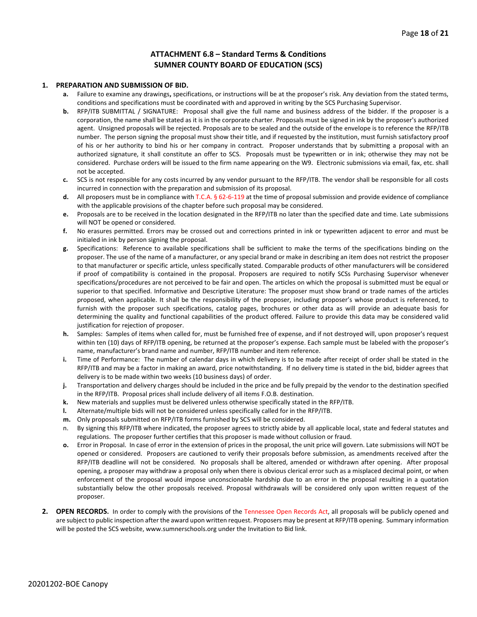# **ATTACHMENT 6.8 – Standard Terms & Conditions SUMNER COUNTY BOARD OF EDUCATION (SCS)**

#### **1. PREPARATION AND SUBMISSION OF BID.**

- **a.** Failure to examine any drawings**,** specifications, or instructions will be at the proposer's risk. Any deviation from the stated terms, conditions and specifications must be coordinated with and approved in writing by the SCS Purchasing Supervisor.
- **b.** RFP/ITB SUBMITTAL / SIGNATURE: Proposal shall give the full name and business address of the bidder. If the proposer is a corporation, the name shall be stated as it is in the corporate charter. Proposals must be signed in ink by the proposer's authorized agent. Unsigned proposals will be rejected. Proposals are to be sealed and the outside of the envelope is to reference the RFP/ITB number. The person signing the proposal must show their title, and if requested by the institution, must furnish satisfactory proof of his or her authority to bind his or her company in contract. Proposer understands that by submitting a proposal with an authorized signature, it shall constitute an offer to SCS. Proposals must be typewritten or in ink; otherwise they may not be considered. Purchase orders will be issued to the firm name appearing on the W9. Electronic submissions via email, fax, etc. shall not be accepted.
- **c.** SCS is not responsible for any costs incurred by any vendor pursuant to the RFP/ITB. The vendor shall be responsible for all costs incurred in connection with the preparation and submission of its proposal.
- **d.** All proposers must be in compliance with T.C.A. § 62-6-119 at the time of proposal submission and provide evidence of compliance with the applicable provisions of the chapter before such proposal may be considered.
- **e.** Proposals are to be received in the location designated in the RFP/ITB no later than the specified date and time. Late submissions will NOT be opened or considered.
- **f.** No erasures permitted. Errors may be crossed out and corrections printed in ink or typewritten adjacent to error and must be initialed in ink by person signing the proposal.
- **g.** Specifications: Reference to available specifications shall be sufficient to make the terms of the specifications binding on the proposer. The use of the name of a manufacturer, or any special brand or make in describing an item does not restrict the proposer to that manufacturer or specific article, unless specifically stated. Comparable products of other manufacturers will be considered if proof of compatibility is contained in the proposal. Proposers are required to notify SCSs Purchasing Supervisor whenever specifications/procedures are not perceived to be fair and open. The articles on which the proposal is submitted must be equal or superior to that specified. Informative and Descriptive Literature: The proposer must show brand or trade names of the articles proposed, when applicable. It shall be the responsibility of the proposer, including proposer's whose product is referenced, to furnish with the proposer such specifications, catalog pages, brochures or other data as will provide an adequate basis for determining the quality and functional capabilities of the product offered. Failure to provide this data may be considered valid justification for rejection of proposer.
- **h.** Samples: Samples of items when called for, must be furnished free of expense, and if not destroyed will, upon proposer's request within ten (10) days of RFP/ITB opening, be returned at the proposer's expense. Each sample must be labeled with the proposer's name, manufacturer's brand name and number, RFP/ITB number and item reference.
- **i.** Time of Performance: The number of calendar days in which delivery is to be made after receipt of order shall be stated in the RFP/ITB and may be a factor in making an award, price notwithstanding. If no delivery time is stated in the bid, bidder agrees that delivery is to be made within two weeks (10 business days) of order.
- **j.** Transportation and delivery charges should be included in the price and be fully prepaid by the vendor to the destination specified in the RFP/ITB. Proposal prices shall include delivery of all items F.O.B. destination.
- **k.** New materials and supplies must be delivered unless otherwise specifically stated in the RFP/ITB.
- **l.** Alternate/multiple bids will not be considered unless specifically called for in the RFP/ITB.
- **m.** Only proposals submitted on RFP/ITB forms furnished by SCS will be considered.
- n. By signing this RFP/ITB where indicated, the proposer agrees to strictly abide by all applicable local, state and federal statutes and regulations. The proposer further certifies that this proposer is made without collusion or fraud.
- **o.** Error in Proposal. In case of error in the extension of prices in the proposal, the unit price will govern. Late submissions will NOT be opened or considered. Proposers are cautioned to verify their proposals before submission, as amendments received after the RFP/ITB deadline will not be considered. No proposals shall be altered, amended or withdrawn after opening. After proposal opening, a proposer may withdraw a proposal only when there is obvious clerical error such as a misplaced decimal point, or when enforcement of the proposal would impose unconscionable hardship due to an error in the proposal resulting in a quotation substantially below the other proposals received. Proposal withdrawals will be considered only upon written request of the proposer.
- **2. OPEN RECORDS.** In order to comply with the provisions of the Tennessee Open Records Act, all proposals will be publicly opened and are subject to public inspection after the award upon written request. Proposers may be present at RFP/ITB opening. Summary information will be posted the SCS website, www.sumnerschools.org under the Invitation to Bid link.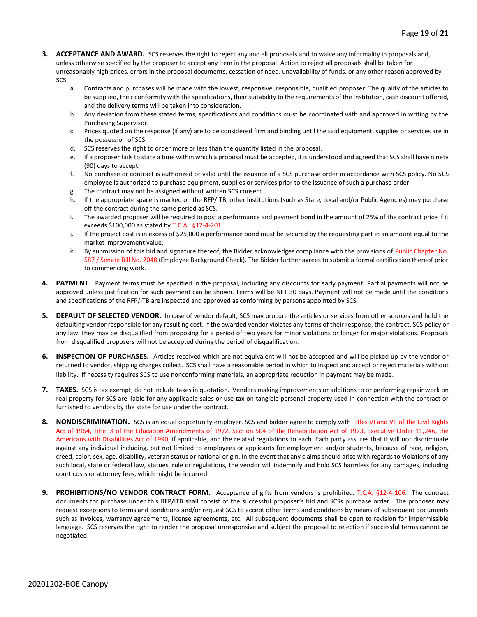- **3. ACCEPTANCE AND AWARD.** SCS reserves the right to reject any and all proposals and to waive any informality in proposals and, unless otherwise specified by the proposer to accept any item in the proposal. Action to reject all proposals shall be taken for unreasonably high prices, errors in the proposal documents, cessation of need, unavailability of funds, or any other reason approved by SCS.
	- a. Contracts and purchases will be made with the lowest, responsive, responsible, qualified proposer. The quality of the articles to be supplied, their conformity with the specifications, their suitability to the requirements of the Institution, cash discount offered, and the delivery terms will be taken into consideration.
	- b. Any deviation from these stated terms, specifications and conditions must be coordinated with and approved in writing by the Purchasing Supervisor.
	- c. Prices quoted on the response (if any) are to be considered firm and binding until the said equipment, supplies or services are in the possession of SCS.
	- d. SCS reserves the right to order more or less than the quantity listed in the proposal.
	- e. If a proposer fails to state a time within which a proposal must be accepted, it is understood and agreed that SCS shall have ninety (90) days to accept.
	- f. No purchase or contract is authorized or valid until the issuance of a SCS purchase order in accordance with SCS policy. No SCS employee is authorized to purchase equipment, supplies or services prior to the issuance of such a purchase order.
	- g. The contract may not be assigned without written SCS consent.
	- h. If the appropriate space is marked on the RFP/ITB, other Institutions (such as State, Local and/or Public Agencies) may purchase off the contract during the same period as SCS.
	- i. The awarded proposer will be required to post a performance and payment bond in the amount of 25% of the contract price if it exceeds \$100,000 as stated by T.C.A. §12-4-201.
	- j. If the project cost is in excess of \$25,000 a performance bond must be secured by the requesting part in an amount equal to the market improvement value.
	- k. By submission of this bid and signature thereof, the Bidder acknowledges compliance with the provisions of Public Chapter No. 587 / Senate Bill No. 2048 (Employee Background Check). The Bidder further agrees to submit a formal certification thereof prior to commencing work.
- **4. PAYMENT**. Payment terms must be specified in the proposal, including any discounts for early payment. Partial payments will not be approved unless justification for such payment can be shown. Terms will be NET 30 days. Payment will not be made until the conditions and specifications of the RFP/ITB are inspected and approved as conforming by persons appointed by SCS.
- **5. DEFAULT OF SELECTED VENDOR.** In case of vendor default, SCS may procure the articles or services from other sources and hold the defaulting vendor responsible for any resulting cost. If the awarded vendor violates any terms of their response, the contract, SCS policy or any law, they may be disqualified from proposing for a period of two years for minor violations or longer for major violations. Proposals from disqualified proposers will not be accepted during the period of disqualification.
- **6. INSPECTION OF PURCHASES.** Articles received which are not equivalent will not be accepted and will be picked up by the vendor or returned to vendor, shipping charges collect. SCS shall have a reasonable period in which to inspect and accept or reject materials without liability. If necessity requires SCS to use nonconforming materials, an appropriate reduction in payment may be made.
- **7. TAXES.** SCS is tax exempt; do not include taxes in quotation. Vendors making improvements or additions to or performing repair work on real property for SCS are liable for any applicable sales or use tax on tangible personal property used in connection with the contract or furnished to vendors by the state for use under the contract.
- **8. NONDISCRIMINATION.** SCS is an equal opportunity employer. SCS and bidder agree to comply with Titles VI and VII of the Civil Rights Act of 1964, Title IX of the Education Amendments of 1972, Section 504 of the Rehabilitation Act of 1973, Executive Order 11,246, the Americans with Disabilities Act of 1990, if applicable, and the related regulations to each. Each party assures that it will not discriminate against any individual including, but not limited to employees or applicants for employment and/or students, because of race, religion, creed, color, sex, age, disability, veteran status or national origin. In the event that any claims should arise with regards to violations of any such local, state or federal law, statues, rule or regulations, the vendor will indemnify and hold SCS harmless for any damages, including court costs or attorney fees, which might be incurred.
- **9. PROHIBITIONS/NO VENDOR CONTRACT FORM.** Acceptance of gifts from vendors is prohibited. T.C.A. §12-4-106. The contract documents for purchase under this RFP/ITB shall consist of the successful proposer's bid and SCSs purchase order. The proposer may request exceptions to terms and conditions and/or request SCS to accept other terms and conditions by means of subsequent documents such as invoices, warranty agreements, license agreements, etc. All subsequent documents shall be open to revision for impermissible language. SCS reserves the right to render the proposal unresponsive and subject the proposal to rejection if successful terms cannot be negotiated.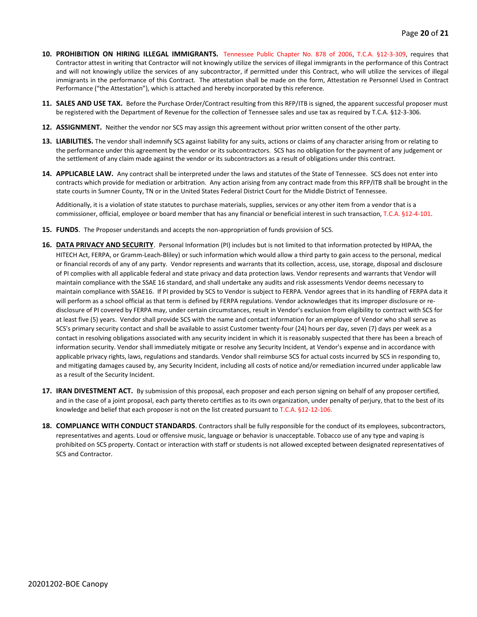- **10. PROHIBITION ON HIRING ILLEGAL IMMIGRANTS.** Tennessee Public Chapter No. 878 of 2006, T.C.A. §12-3-309, requires that Contractor attest in writing that Contractor will not knowingly utilize the services of illegal immigrants in the performance of this Contract and will not knowingly utilize the services of any subcontractor, if permitted under this Contract, who will utilize the services of illegal immigrants in the performance of this Contract. The attestation shall be made on the form, Attestation re Personnel Used in Contract Performance ("the Attestation"), which is attached and hereby incorporated by this reference.
- **11. SALES AND USE TAX.** Before the Purchase Order/Contract resulting from this RFP/ITB is signed, the apparent successful proposer must be registered with the Department of Revenue for the collection of Tennessee sales and use tax as required by T.C.A. §12-3-306.
- **12. ASSIGNMENT.** Neither the vendor nor SCS may assign this agreement without prior written consent of the other party.
- **13. LIABILITIES.** The vendor shall indemnify SCS against liability for any suits, actions or claims of any character arising from or relating to the performance under this agreement by the vendor or its subcontractors. SCS has no obligation for the payment of any judgement or the settlement of any claim made against the vendor or its subcontractors as a result of obligations under this contract.
- **14. APPLICABLE LAW.** Any contract shall be interpreted under the laws and statutes of the State of Tennessee. SCS does not enter into contracts which provide for mediation or arbitration. Any action arising from any contract made from this RFP/ITB shall be brought in the state courts in Sumner County, TN or in the United States Federal District Court for the Middle District of Tennessee.

Additionally, it is a violation of state statutes to purchase materials, supplies, services or any other item from a vendor that is a commissioner, official, employee or board member that has any financial or beneficial interest in such transaction, T.C.A. §12-4-101.

- **15. FUNDS**. The Proposer understands and accepts the non-appropriation of funds provision of SCS.
- **16. DATA PRIVACY AND SECURITY**. Personal Information (PI) includes but is not limited to that information protected by HIPAA, the HITECH Act, FERPA, or Gramm-Leach-Bliley) or such information which would allow a third party to gain access to the personal, medical or financial records of any of any party. Vendor represents and warrants that its collection, access, use, storage, disposal and disclosure of PI complies with all applicable federal and state privacy and data protection laws. Vendor represents and warrants that Vendor will maintain compliance with the SSAE 16 standard, and shall undertake any audits and risk assessments Vendor deems necessary to maintain compliance with SSAE16. If PI provided by SCS to Vendor is subject to FERPA. Vendor agrees that in its handling of FERPA data it will perform as a school official as that term is defined by FERPA regulations. Vendor acknowledges that its improper disclosure or redisclosure of PI covered by FERPA may, under certain circumstances, result in Vendor's exclusion from eligibility to contract with SCS for at least five (5) years. Vendor shall provide SCS with the name and contact information for an employee of Vendor who shall serve as SCS's primary security contact and shall be available to assist Customer twenty-four (24) hours per day, seven (7) days per week as a contact in resolving obligations associated with any security incident in which it is reasonably suspected that there has been a breach of information security. Vendor shall immediately mitigate or resolve any Security Incident, at Vendor's expense and in accordance with applicable privacy rights, laws, regulations and standards. Vendor shall reimburse SCS for actual costs incurred by SCS in responding to, and mitigating damages caused by, any Security Incident, including all costs of notice and/or remediation incurred under applicable law as a result of the Security Incident.
- **17. IRAN DIVESTMENT ACT.** By submission of this proposal, each proposer and each person signing on behalf of any proposer certified, and in the case of a joint proposal, each party thereto certifies as to its own organization, under penalty of perjury, that to the best of its knowledge and belief that each proposer is not on the list created pursuant to T.C.A. §12-12-106.
- **18. COMPLIANCE WITH CONDUCT STANDARDS**. Contractors shall be fully responsible for the conduct of its employees, subcontractors, representatives and agents. Loud or offensive music, language or behavior is unacceptable. Tobacco use of any type and vaping is prohibited on SCS property. Contact or interaction with staff or students is not allowed excepted between designated representatives of SCS and Contractor.